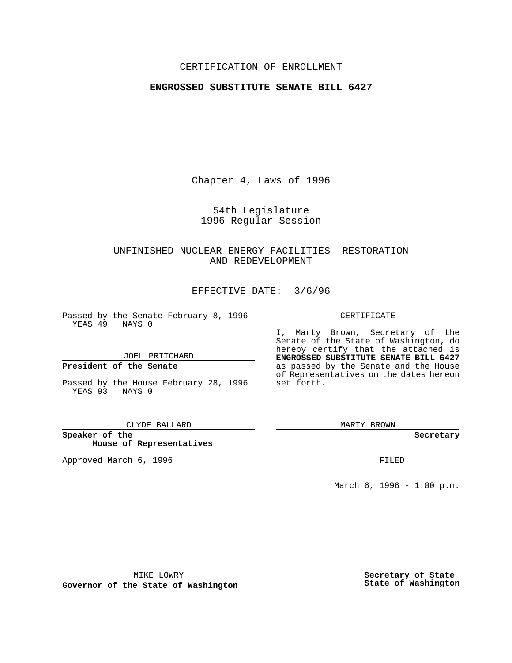### CERTIFICATION OF ENROLLMENT

# **ENGROSSED SUBSTITUTE SENATE BILL 6427**

Chapter 4, Laws of 1996

54th Legislature 1996 Regular Session

# UNFINISHED NUCLEAR ENERGY FACILITIES--RESTORATION AND REDEVELOPMENT

EFFECTIVE DATE: 3/6/96

Passed by the Senate February 8, 1996 YEAS 49 NAYS 0

JOEL PRITCHARD

### **President of the Senate**

Passed by the House February 28, 1996 YEAS 93 NAYS 0

CLYDE BALLARD

**Speaker of the House of Representatives**

Approved March 6, 1996 FILED

### CERTIFICATE

I, Marty Brown, Secretary of the Senate of the State of Washington, do hereby certify that the attached is **ENGROSSED SUBSTITUTE SENATE BILL 6427** as passed by the Senate and the House of Representatives on the dates hereon set forth.

MARTY BROWN

**Secretary**

March 6, 1996 - 1:00 p.m.

MIKE LOWRY

**Governor of the State of Washington**

**Secretary of State State of Washington**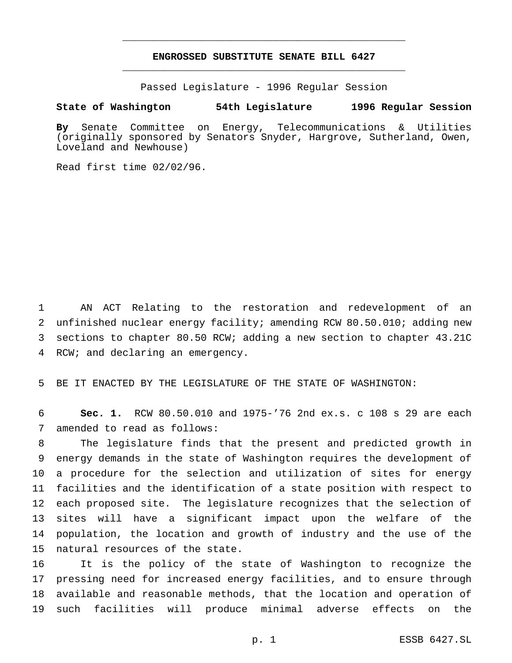# **ENGROSSED SUBSTITUTE SENATE BILL 6427** \_\_\_\_\_\_\_\_\_\_\_\_\_\_\_\_\_\_\_\_\_\_\_\_\_\_\_\_\_\_\_\_\_\_\_\_\_\_\_\_\_\_\_\_\_\_\_

\_\_\_\_\_\_\_\_\_\_\_\_\_\_\_\_\_\_\_\_\_\_\_\_\_\_\_\_\_\_\_\_\_\_\_\_\_\_\_\_\_\_\_\_\_\_\_

Passed Legislature - 1996 Regular Session

#### **State of Washington 54th Legislature 1996 Regular Session**

**By** Senate Committee on Energy, Telecommunications & Utilities (originally sponsored by Senators Snyder, Hargrove, Sutherland, Owen, Loveland and Newhouse)

Read first time 02/02/96.

 AN ACT Relating to the restoration and redevelopment of an unfinished nuclear energy facility; amending RCW 80.50.010; adding new sections to chapter 80.50 RCW; adding a new section to chapter 43.21C RCW; and declaring an emergency.

BE IT ENACTED BY THE LEGISLATURE OF THE STATE OF WASHINGTON:

 **Sec. 1.** RCW 80.50.010 and 1975-'76 2nd ex.s. c 108 s 29 are each amended to read as follows:

 The legislature finds that the present and predicted growth in energy demands in the state of Washington requires the development of a procedure for the selection and utilization of sites for energy facilities and the identification of a state position with respect to each proposed site. The legislature recognizes that the selection of sites will have a significant impact upon the welfare of the population, the location and growth of industry and the use of the natural resources of the state.

 It is the policy of the state of Washington to recognize the pressing need for increased energy facilities, and to ensure through available and reasonable methods, that the location and operation of such facilities will produce minimal adverse effects on the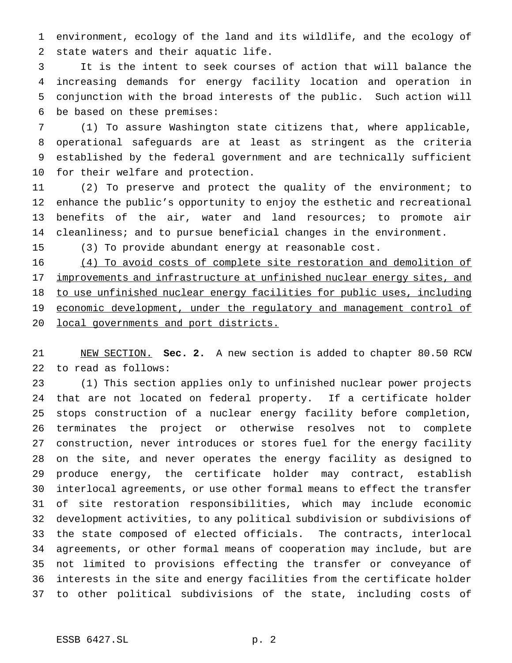environment, ecology of the land and its wildlife, and the ecology of state waters and their aquatic life.

 It is the intent to seek courses of action that will balance the increasing demands for energy facility location and operation in conjunction with the broad interests of the public. Such action will be based on these premises:

 (1) To assure Washington state citizens that, where applicable, operational safeguards are at least as stringent as the criteria established by the federal government and are technically sufficient for their welfare and protection.

 (2) To preserve and protect the quality of the environment; to enhance the public's opportunity to enjoy the esthetic and recreational benefits of the air, water and land resources; to promote air cleanliness; and to pursue beneficial changes in the environment.

(3) To provide abundant energy at reasonable cost.

 (4) To avoid costs of complete site restoration and demolition of 17 improvements and infrastructure at unfinished nuclear energy sites, and to use unfinished nuclear energy facilities for public uses, including 19 economic development, under the regulatory and management control of local governments and port districts.

 NEW SECTION. **Sec. 2.** A new section is added to chapter 80.50 RCW to read as follows:

 (1) This section applies only to unfinished nuclear power projects that are not located on federal property. If a certificate holder stops construction of a nuclear energy facility before completion, terminates the project or otherwise resolves not to complete construction, never introduces or stores fuel for the energy facility on the site, and never operates the energy facility as designed to produce energy, the certificate holder may contract, establish interlocal agreements, or use other formal means to effect the transfer of site restoration responsibilities, which may include economic development activities, to any political subdivision or subdivisions of the state composed of elected officials. The contracts, interlocal agreements, or other formal means of cooperation may include, but are not limited to provisions effecting the transfer or conveyance of interests in the site and energy facilities from the certificate holder to other political subdivisions of the state, including costs of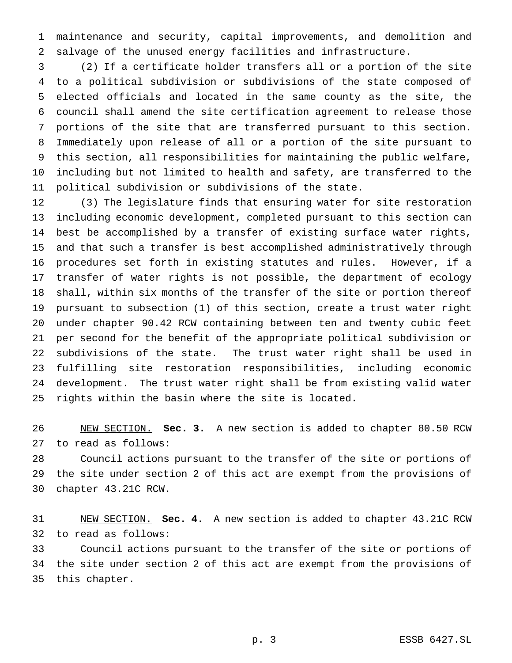maintenance and security, capital improvements, and demolition and salvage of the unused energy facilities and infrastructure.

 (2) If a certificate holder transfers all or a portion of the site to a political subdivision or subdivisions of the state composed of elected officials and located in the same county as the site, the council shall amend the site certification agreement to release those portions of the site that are transferred pursuant to this section. Immediately upon release of all or a portion of the site pursuant to this section, all responsibilities for maintaining the public welfare, including but not limited to health and safety, are transferred to the political subdivision or subdivisions of the state.

 (3) The legislature finds that ensuring water for site restoration including economic development, completed pursuant to this section can best be accomplished by a transfer of existing surface water rights, and that such a transfer is best accomplished administratively through procedures set forth in existing statutes and rules. However, if a transfer of water rights is not possible, the department of ecology shall, within six months of the transfer of the site or portion thereof pursuant to subsection (1) of this section, create a trust water right under chapter 90.42 RCW containing between ten and twenty cubic feet per second for the benefit of the appropriate political subdivision or subdivisions of the state. The trust water right shall be used in fulfilling site restoration responsibilities, including economic development. The trust water right shall be from existing valid water rights within the basin where the site is located.

 NEW SECTION. **Sec. 3.** A new section is added to chapter 80.50 RCW to read as follows:

 Council actions pursuant to the transfer of the site or portions of the site under section 2 of this act are exempt from the provisions of chapter 43.21C RCW.

 NEW SECTION. **Sec. 4.** A new section is added to chapter 43.21C RCW to read as follows:

 Council actions pursuant to the transfer of the site or portions of the site under section 2 of this act are exempt from the provisions of this chapter.